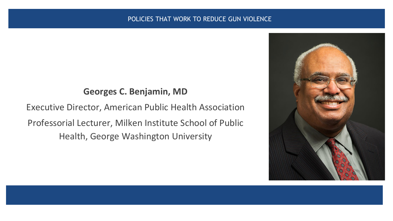#### POLICIES THAT WORK TO REDUCE GUN VIOLENCE

### **Georges C. Benjamin, MD**

Executive Director, American Public Health Association Professorial Lecturer, Milken Institute School of Public Health, George Washington University

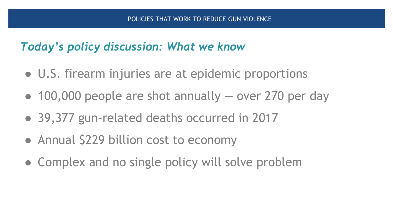# *Today's policy discussion: What we know*

- U.S. firearm injuries are at epidemic proportions
- $\bullet$  100,000 people are shot annually  $-$  over 270 per day
- 39,377 gun-related deaths occurred in 2017
- Annual \$229 billion cost to economy
- Complex and no single policy will solve problem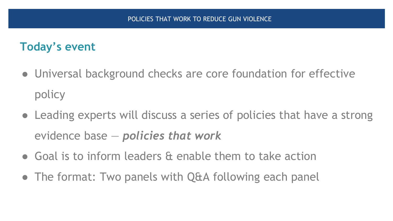## **Today's event**

- Universal background checks are core foundation for effective policy
- Leading experts will discuss a series of policies that have a strong evidence base — *policies that work*
- Goal is to inform leaders & enable them to take action
- The format: Two panels with Q&A following each panel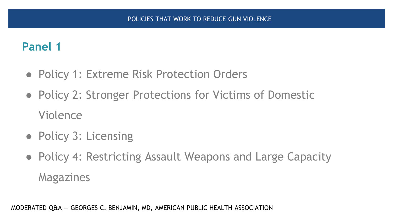# **Panel 1**

- Policy 1: Extreme Risk Protection Orders
- Policy 2: Stronger Protections for Victims of Domestic Violence
- Policy 3: Licensing
- Policy 4: Restricting Assault Weapons and Large Capacity Magazines

MODERATED Q&A — GEORGES C. BENJAMIN, MD, AMERICAN PUBLIC HEALTH ASSOCIATION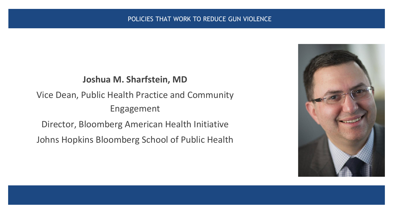### **Joshua M. Sharfstein, MD**

Vice Dean, Public Health Practice and Community Engagement

Director, Bloomberg American Health Initiative

Johns Hopkins Bloomberg School of Public Health

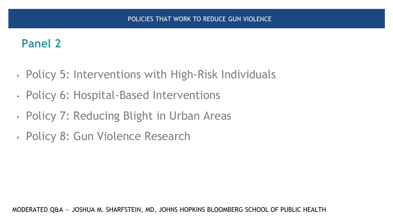# **Panel 2**

- Policy 5: Interventions with High-Risk Individuals
- Policy 6: Hospital-Based Interventions
- Policy 7: Reducing Blight in Urban Areas
- Policy 8: Gun Violence Research

MODERATED Q&A — JOSHUA M. SHARFSTEIN, MD, JOHNS HOPKINS BLOOMBERG SCHOOL OF PUBLIC HEALTH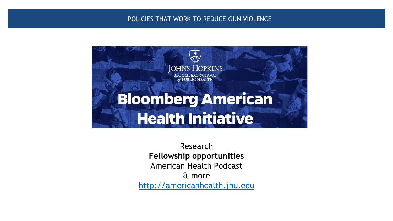#### POLICIES THAT WORK TO REDUCE GUN VIOLENCE



Research **Fellowship opportunities** American Health Podcast & more [http://americanhealth.jhu.edu](http://americanhealth.jhu.edu/)